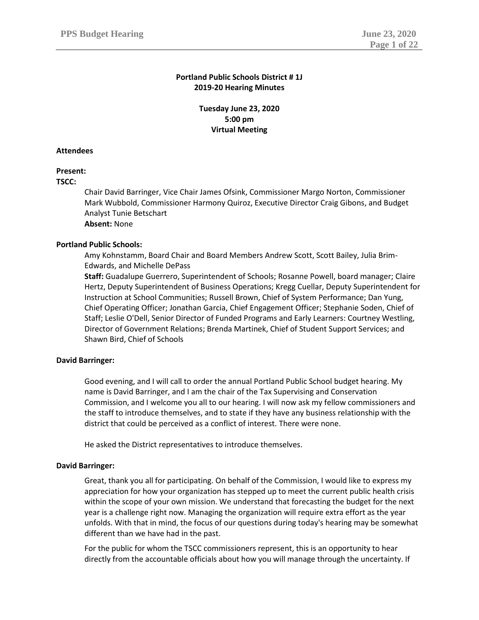# **Portland Public Schools District # 1J 2019-20 Hearing Minutes**

**Tuesday June 23, 2020 5:00 pm Virtual Meeting**

## **Attendees**

# **Present:**

**TSCC:**

Chair David Barringer, Vice Chair James Ofsink, Commissioner Margo Norton, Commissioner Mark Wubbold, Commissioner Harmony Quiroz, Executive Director Craig Gibons, and Budget Analyst Tunie Betschart **Absent:** None

# **Portland Public Schools:**

Amy Kohnstamm, Board Chair and Board Members Andrew Scott, Scott Bailey, Julia Brim-Edwards, and Michelle DePass

**Staff:** Guadalupe Guerrero, Superintendent of Schools; Rosanne Powell, board manager; Claire Hertz, Deputy Superintendent of Business Operations; Kregg Cuellar, Deputy Superintendent for Instruction at School Communities; Russell Brown, Chief of System Performance; Dan Yung, Chief Operating Officer; Jonathan Garcia, Chief Engagement Officer; Stephanie Soden, Chief of Staff; Leslie O'Dell, Senior Director of Funded Programs and Early Learners: Courtney Westling, Director of Government Relations; Brenda Martinek, Chief of Student Support Services; and Shawn Bird, Chief of Schools

## **David Barringer:**

Good evening, and I will call to order the annual Portland Public School budget hearing. My name is David Barringer, and I am the chair of the Tax Supervising and Conservation Commission, and I welcome you all to our hearing. I will now ask my fellow commissioners and the staff to introduce themselves, and to state if they have any business relationship with the district that could be perceived as a conflict of interest. There were none.

He asked the District representatives to introduce themselves.

## **David Barringer:**

Great, thank you all for participating. On behalf of the Commission, I would like to express my appreciation for how your organization has stepped up to meet the current public health crisis within the scope of your own mission. We understand that forecasting the budget for the next year is a challenge right now. Managing the organization will require extra effort as the year unfolds. With that in mind, the focus of our questions during today's hearing may be somewhat different than we have had in the past.

For the public for whom the TSCC commissioners represent, this is an opportunity to hear directly from the accountable officials about how you will manage through the uncertainty. If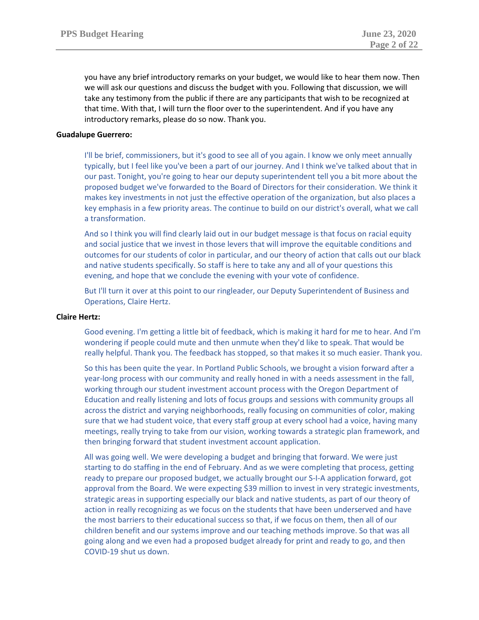you have any brief introductory remarks on your budget, we would like to hear them now. Then we will ask our questions and discuss the budget with you. Following that discussion, we will take any testimony from the public if there are any participants that wish to be recognized at that time. With that, I will turn the floor over to the superintendent. And if you have any introductory remarks, please do so now. Thank you.

# **Guadalupe Guerrero:**

I'll be brief, commissioners, but it's good to see all of you again. I know we only meet annually typically, but I feel like you've been a part of our journey. And I think we've talked about that in our past. Tonight, you're going to hear our deputy superintendent tell you a bit more about the proposed budget we've forwarded to the Board of Directors for their consideration. We think it makes key investments in not just the effective operation of the organization, but also places a key emphasis in a few priority areas. The continue to build on our district's overall, what we call a transformation.

And so I think you will find clearly laid out in our budget message is that focus on racial equity and social justice that we invest in those levers that will improve the equitable conditions and outcomes for our students of color in particular, and our theory of action that calls out our black and native students specifically. So staff is here to take any and all of your questions this evening, and hope that we conclude the evening with your vote of confidence.

But I'll turn it over at this point to our ringleader, our Deputy Superintendent of Business and Operations, Claire Hertz.

## **Claire Hertz:**

Good evening. I'm getting a little bit of feedback, which is making it hard for me to hear. And I'm wondering if people could mute and then unmute when they'd like to speak. That would be really helpful. Thank you. The feedback has stopped, so that makes it so much easier. Thank you.

So this has been quite the year. In Portland Public Schools, we brought a vision forward after a year-long process with our community and really honed in with a needs assessment in the fall, working through our student investment account process with the Oregon Department of Education and really listening and lots of focus groups and sessions with community groups all across the district and varying neighborhoods, really focusing on communities of color, making sure that we had student voice, that every staff group at every school had a voice, having many meetings, really trying to take from our vision, working towards a strategic plan framework, and then bringing forward that student investment account application.

All was going well. We were developing a budget and bringing that forward. We were just starting to do staffing in the end of February. And as we were completing that process, getting ready to prepare our proposed budget, we actually brought our S-I-A application forward, got approval from the Board. We were expecting \$39 million to invest in very strategic investments, strategic areas in supporting especially our black and native students, as part of our theory of action in really recognizing as we focus on the students that have been underserved and have the most barriers to their educational success so that, if we focus on them, then all of our children benefit and our systems improve and our teaching methods improve. So that was all going along and we even had a proposed budget already for print and ready to go, and then COVID-19 shut us down.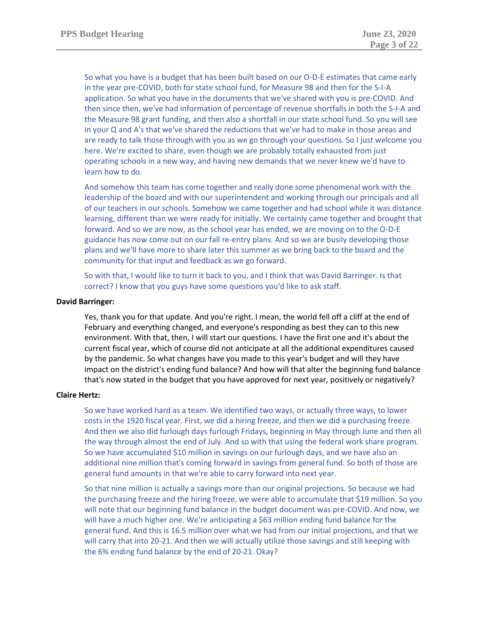So what you have is a budget that has been built based on our O-D-E estimates that came early in the year pre-COVID, both for state school fund, for Measure 98 and then for the S-I-A application. So what you have in the documents that we've shared with you is pre-COVID. And then since then, we've had information of percentage of revenue shortfalls in both the S-I-A and the Measure 98 grant funding, and then also a shortfall in our state school fund. So you will see in your Q and A's that we've shared the reductions that we've had to make in those areas and are ready to talk those through with you as we go through your questions. So I just welcome you here. We're excited to share, even though we are probably totally exhausted from just operating schools in a new way, and having new demands that we never knew we'd have to learn how to do.

And somehow this team has come together and really done some phenomenal work with the leadership of the board and with our superintendent and working through our principals and all of our teachers in our schools. Somehow we came together and had school while it was distance learning, different than we were ready for initially. We certainly came together and brought that forward. And so we are now, as the school year has ended, we are moving on to the O-D-E guidance has now come out on our fall re-entry plans. And so we are busily developing those plans and we'll have more to share later this summer as we bring back to the board and the community for that input and feedback as we go forward.

So with that, I would like to turn it back to you, and I think that was David Barringer. Is that correct? I know that you guys have some questions you'd like to ask staff.

### **David Barringer:**

Yes, thank you for that update. And you're right. I mean, the world fell off a cliff at the end of February and everything changed, and everyone's responding as best they can to this new environment. With that, then, I will start our questions. I have the first one and it's about the current fiscal year, which of course did not anticipate at all the additional expenditures caused by the pandemic. So what changes have you made to this year's budget and will they have impact on the district's ending fund balance? And how will that alter the beginning fund balance that's now stated in the budget that you have approved for next year, positively or negatively?

#### **Claire Hertz:**

So we have worked hard as a team. We identified two ways, or actually three ways, to lower costs in the 1920 fiscal year. First, we did a hiring freeze, and then we did a purchasing freeze. And then we also did furlough days furlough Fridays, beginning in May through June and then all the way through almost the end of July. And so with that using the federal work share program. So we have accumulated \$10 million in savings on our furlough days, and we have also an additional nine million that's coming forward in savings from general fund. So both of those are general fund amounts in that we're able to carry forward into next year.

So that nine million is actually a savings more than our original projections. So because we had the purchasing freeze and the hiring freeze, we were able to accumulate that \$19 million. So you will note that our beginning fund balance in the budget document was pre-COVID. And now, we will have a much higher one. We're anticipating a \$63 million ending fund balance for the general fund. And this is 16.5 million over what we had from our initial projections, and that we will carry that into 20-21. And then we will actually utilize those savings and still keeping with the 6% ending fund balance by the end of 20-21. Okay?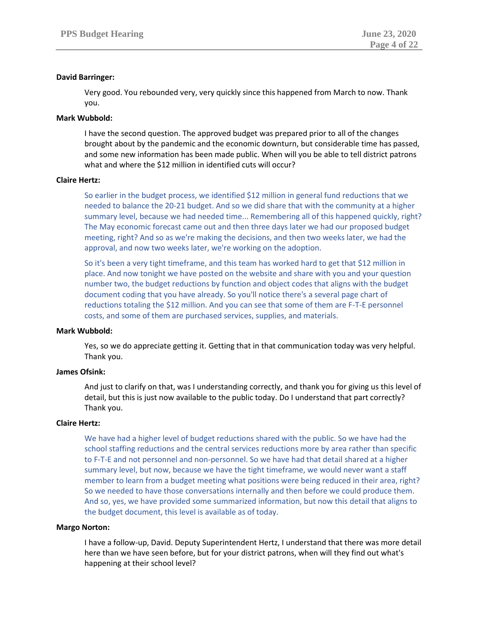# **David Barringer:**

Very good. You rebounded very, very quickly since this happened from March to now. Thank you.

# **Mark Wubbold:**

I have the second question. The approved budget was prepared prior to all of the changes brought about by the pandemic and the economic downturn, but considerable time has passed, and some new information has been made public. When will you be able to tell district patrons what and where the \$12 million in identified cuts will occur?

# **Claire Hertz:**

So earlier in the budget process, we identified \$12 million in general fund reductions that we needed to balance the 20-21 budget. And so we did share that with the community at a higher summary level, because we had needed time... Remembering all of this happened quickly, right? The May economic forecast came out and then three days later we had our proposed budget meeting, right? And so as we're making the decisions, and then two weeks later, we had the approval, and now two weeks later, we're working on the adoption.

So it's been a very tight timeframe, and this team has worked hard to get that \$12 million in place. And now tonight we have posted on the website and share with you and your question number two, the budget reductions by function and object codes that aligns with the budget document coding that you have already. So you'll notice there's a several page chart of reductions totaling the \$12 million. And you can see that some of them are F-T-E personnel costs, and some of them are purchased services, supplies, and materials.

## **Mark Wubbold:**

Yes, so we do appreciate getting it. Getting that in that communication today was very helpful. Thank you.

# **James Ofsink:**

And just to clarify on that, was I understanding correctly, and thank you for giving us this level of detail, but this is just now available to the public today. Do I understand that part correctly? Thank you.

## **Claire Hertz:**

We have had a higher level of budget reductions shared with the public. So we have had the school staffing reductions and the central services reductions more by area rather than specific to F-T-E and not personnel and non-personnel. So we have had that detail shared at a higher summary level, but now, because we have the tight timeframe, we would never want a staff member to learn from a budget meeting what positions were being reduced in their area, right? So we needed to have those conversations internally and then before we could produce them. And so, yes, we have provided some summarized information, but now this detail that aligns to the budget document, this level is available as of today.

## **Margo Norton:**

I have a follow-up, David. Deputy Superintendent Hertz, I understand that there was more detail here than we have seen before, but for your district patrons, when will they find out what's happening at their school level?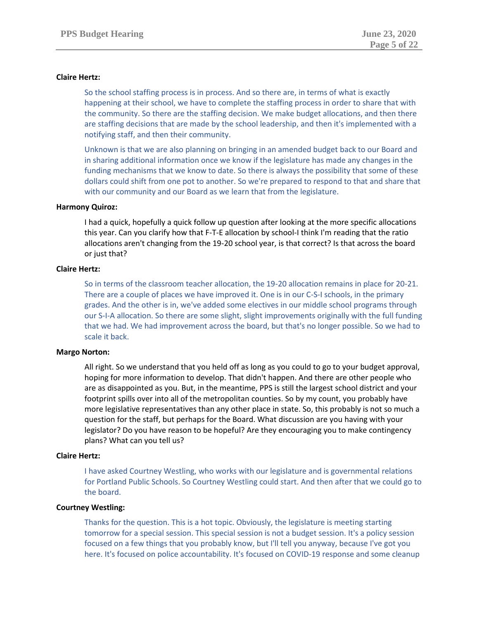# **Claire Hertz:**

So the school staffing process is in process. And so there are, in terms of what is exactly happening at their school, we have to complete the staffing process in order to share that with the community. So there are the staffing decision. We make budget allocations, and then there are staffing decisions that are made by the school leadership, and then it's implemented with a notifying staff, and then their community.

Unknown is that we are also planning on bringing in an amended budget back to our Board and in sharing additional information once we know if the legislature has made any changes in the funding mechanisms that we know to date. So there is always the possibility that some of these dollars could shift from one pot to another. So we're prepared to respond to that and share that with our community and our Board as we learn that from the legislature.

# **Harmony Quiroz:**

I had a quick, hopefully a quick follow up question after looking at the more specific allocations this year. Can you clarify how that F-T-E allocation by school-I think I'm reading that the ratio allocations aren't changing from the 19-20 school year, is that correct? Is that across the board or just that?

# **Claire Hertz:**

So in terms of the classroom teacher allocation, the 19-20 allocation remains in place for 20-21. There are a couple of places we have improved it. One is in our C-S-I schools, in the primary grades. And the other is in, we've added some electives in our middle school programs through our S-I-A allocation. So there are some slight, slight improvements originally with the full funding that we had. We had improvement across the board, but that's no longer possible. So we had to scale it back.

## **Margo Norton:**

All right. So we understand that you held off as long as you could to go to your budget approval, hoping for more information to develop. That didn't happen. And there are other people who are as disappointed as you. But, in the meantime, PPS is still the largest school district and your footprint spills over into all of the metropolitan counties. So by my count, you probably have more legislative representatives than any other place in state. So, this probably is not so much a question for the staff, but perhaps for the Board. What discussion are you having with your legislator? Do you have reason to be hopeful? Are they encouraging you to make contingency plans? What can you tell us?

## **Claire Hertz:**

I have asked Courtney Westling, who works with our legislature and is governmental relations for Portland Public Schools. So Courtney Westling could start. And then after that we could go to the board.

# **Courtney Westling:**

Thanks for the question. This is a hot topic. Obviously, the legislature is meeting starting tomorrow for a special session. This special session is not a budget session. It's a policy session focused on a few things that you probably know, but I'll tell you anyway, because I've got you here. It's focused on police accountability. It's focused on COVID-19 response and some cleanup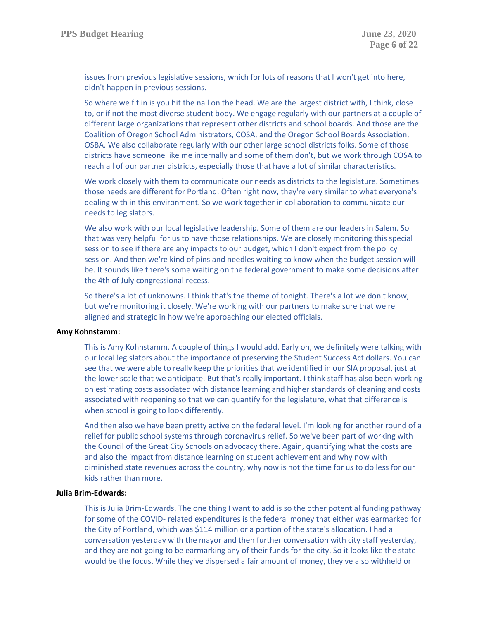issues from previous legislative sessions, which for lots of reasons that I won't get into here, didn't happen in previous sessions.

So where we fit in is you hit the nail on the head. We are the largest district with, I think, close to, or if not the most diverse student body. We engage regularly with our partners at a couple of different large organizations that represent other districts and school boards. And those are the Coalition of Oregon School Administrators, COSA, and the Oregon School Boards Association, OSBA. We also collaborate regularly with our other large school districts folks. Some of those districts have someone like me internally and some of them don't, but we work through COSA to reach all of our partner districts, especially those that have a lot of similar characteristics.

We work closely with them to communicate our needs as districts to the legislature. Sometimes those needs are different for Portland. Often right now, they're very similar to what everyone's dealing with in this environment. So we work together in collaboration to communicate our needs to legislators.

We also work with our local legislative leadership. Some of them are our leaders in Salem. So that was very helpful for us to have those relationships. We are closely monitoring this special session to see if there are any impacts to our budget, which I don't expect from the policy session. And then we're kind of pins and needles waiting to know when the budget session will be. It sounds like there's some waiting on the federal government to make some decisions after the 4th of July congressional recess.

So there's a lot of unknowns. I think that's the theme of tonight. There's a lot we don't know, but we're monitoring it closely. We're working with our partners to make sure that we're aligned and strategic in how we're approaching our elected officials.

## **Amy Kohnstamm:**

This is Amy Kohnstamm. A couple of things I would add. Early on, we definitely were talking with our local legislators about the importance of preserving the Student Success Act dollars. You can see that we were able to really keep the priorities that we identified in our SIA proposal, just at the lower scale that we anticipate. But that's really important. I think staff has also been working on estimating costs associated with distance learning and higher standards of cleaning and costs associated with reopening so that we can quantify for the legislature, what that difference is when school is going to look differently.

And then also we have been pretty active on the federal level. I'm looking for another round of a relief for public school systems through coronavirus relief. So we've been part of working with the Council of the Great City Schools on advocacy there. Again, quantifying what the costs are and also the impact from distance learning on student achievement and why now with diminished state revenues across the country, why now is not the time for us to do less for our kids rather than more.

## **Julia Brim-Edwards:**

This is Julia Brim-Edwards. The one thing I want to add is so the other potential funding pathway for some of the COVID- related expenditures is the federal money that either was earmarked for the City of Portland, which was \$114 million or a portion of the state's allocation. I had a conversation yesterday with the mayor and then further conversation with city staff yesterday, and they are not going to be earmarking any of their funds for the city. So it looks like the state would be the focus. While they've dispersed a fair amount of money, they've also withheld or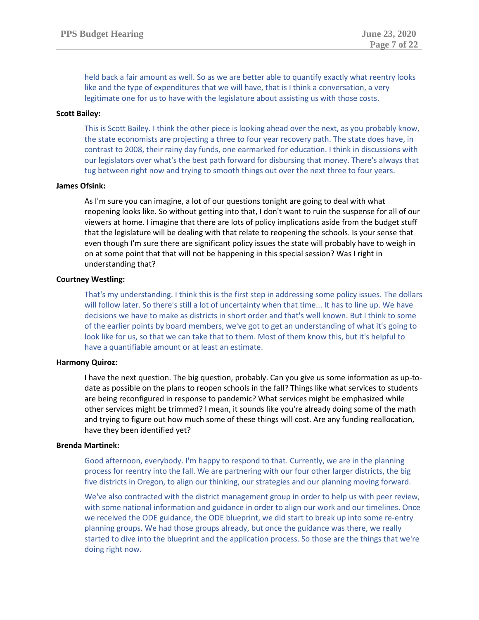held back a fair amount as well. So as we are better able to quantify exactly what reentry looks like and the type of expenditures that we will have, that is I think a conversation, a very legitimate one for us to have with the legislature about assisting us with those costs.

## **Scott Bailey:**

This is Scott Bailey. I think the other piece is looking ahead over the next, as you probably know, the state economists are projecting a three to four year recovery path. The state does have, in contrast to 2008, their rainy day funds, one earmarked for education. I think in discussions with our legislators over what's the best path forward for disbursing that money. There's always that tug between right now and trying to smooth things out over the next three to four years.

# **James Ofsink:**

As I'm sure you can imagine, a lot of our questions tonight are going to deal with what reopening looks like. So without getting into that, I don't want to ruin the suspense for all of our viewers at home. I imagine that there are lots of policy implications aside from the budget stuff that the legislature will be dealing with that relate to reopening the schools. Is your sense that even though I'm sure there are significant policy issues the state will probably have to weigh in on at some point that that will not be happening in this special session? Was I right in understanding that?

# **Courtney Westling:**

That's my understanding. I think this is the first step in addressing some policy issues. The dollars will follow later. So there's still a lot of uncertainty when that time... It has to line up. We have decisions we have to make as districts in short order and that's well known. But I think to some of the earlier points by board members, we've got to get an understanding of what it's going to look like for us, so that we can take that to them. Most of them know this, but it's helpful to have a quantifiable amount or at least an estimate.

## **Harmony Quiroz:**

I have the next question. The big question, probably. Can you give us some information as up-todate as possible on the plans to reopen schools in the fall? Things like what services to students are being reconfigured in response to pandemic? What services might be emphasized while other services might be trimmed? I mean, it sounds like you're already doing some of the math and trying to figure out how much some of these things will cost. Are any funding reallocation, have they been identified yet?

## **Brenda Martinek:**

Good afternoon, everybody. I'm happy to respond to that. Currently, we are in the planning process for reentry into the fall. We are partnering with our four other larger districts, the big five districts in Oregon, to align our thinking, our strategies and our planning moving forward.

We've also contracted with the district management group in order to help us with peer review, with some national information and guidance in order to align our work and our timelines. Once we received the ODE guidance, the ODE blueprint, we did start to break up into some re-entry planning groups. We had those groups already, but once the guidance was there, we really started to dive into the blueprint and the application process. So those are the things that we're doing right now.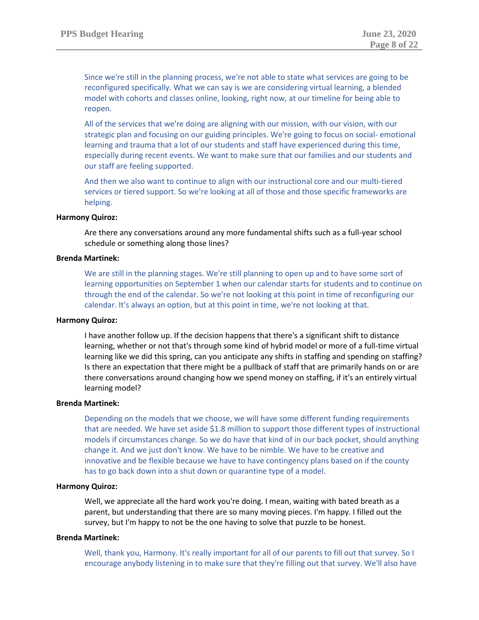Since we're still in the planning process, we're not able to state what services are going to be reconfigured specifically. What we can say is we are considering virtual learning, a blended model with cohorts and classes online, looking, right now, at our timeline for being able to reopen.

All of the services that we're doing are aligning with our mission, with our vision, with our strategic plan and focusing on our guiding principles. We're going to focus on social- emotional learning and trauma that a lot of our students and staff have experienced during this time, especially during recent events. We want to make sure that our families and our students and our staff are feeling supported.

And then we also want to continue to align with our instructional core and our multi-tiered services or tiered support. So we're looking at all of those and those specific frameworks are helping.

## **Harmony Quiroz:**

Are there any conversations around any more fundamental shifts such as a full-year school schedule or something along those lines?

## **Brenda Martinek:**

We are still in the planning stages. We're still planning to open up and to have some sort of learning opportunities on September 1 when our calendar starts for students and to continue on through the end of the calendar. So we're not looking at this point in time of reconfiguring our calendar. It's always an option, but at this point in time, we're not looking at that.

## **Harmony Quiroz:**

I have another follow up. If the decision happens that there's a significant shift to distance learning, whether or not that's through some kind of hybrid model or more of a full-time virtual learning like we did this spring, can you anticipate any shifts in staffing and spending on staffing? Is there an expectation that there might be a pullback of staff that are primarily hands on or are there conversations around changing how we spend money on staffing, if it's an entirely virtual learning model?

## **Brenda Martinek:**

Depending on the models that we choose, we will have some different funding requirements that are needed. We have set aside \$1.8 million to support those different types of instructional models if circumstances change. So we do have that kind of in our back pocket, should anything change it. And we just don't know. We have to be nimble. We have to be creative and innovative and be flexible because we have to have contingency plans based on if the county has to go back down into a shut down or quarantine type of a model.

# **Harmony Quiroz:**

Well, we appreciate all the hard work you're doing. I mean, waiting with bated breath as a parent, but understanding that there are so many moving pieces. I'm happy. I filled out the survey, but I'm happy to not be the one having to solve that puzzle to be honest.

# **Brenda Martinek:**

Well, thank you, Harmony. It's really important for all of our parents to fill out that survey. So I encourage anybody listening in to make sure that they're filling out that survey. We'll also have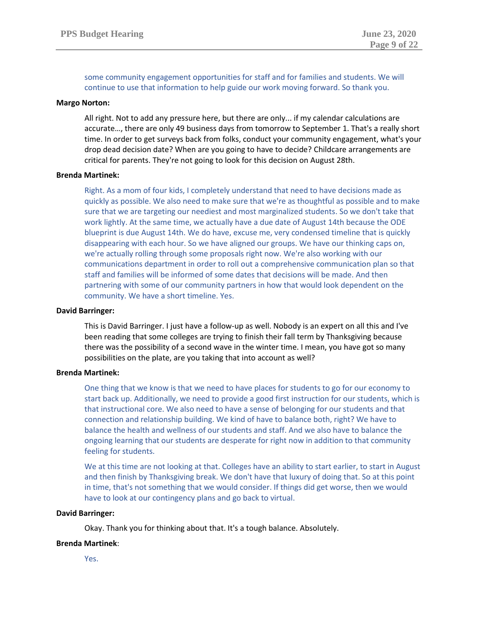some community engagement opportunities for staff and for families and students. We will continue to use that information to help guide our work moving forward. So thank you.

#### **Margo Norton:**

All right. Not to add any pressure here, but there are only... if my calendar calculations are accurate…, there are only 49 business days from tomorrow to September 1. That's a really short time. In order to get surveys back from folks, conduct your community engagement, what's your drop dead decision date? When are you going to have to decide? Childcare arrangements are critical for parents. They're not going to look for this decision on August 28th.

#### **Brenda Martinek:**

Right. As a mom of four kids, I completely understand that need to have decisions made as quickly as possible. We also need to make sure that we're as thoughtful as possible and to make sure that we are targeting our neediest and most marginalized students. So we don't take that work lightly. At the same time, we actually have a due date of August 14th because the ODE blueprint is due August 14th. We do have, excuse me, very condensed timeline that is quickly disappearing with each hour. So we have aligned our groups. We have our thinking caps on, we're actually rolling through some proposals right now. We're also working with our communications department in order to roll out a comprehensive communication plan so that staff and families will be informed of some dates that decisions will be made. And then partnering with some of our community partners in how that would look dependent on the community. We have a short timeline. Yes.

#### **David Barringer:**

This is David Barringer. I just have a follow-up as well. Nobody is an expert on all this and I've been reading that some colleges are trying to finish their fall term by Thanksgiving because there was the possibility of a second wave in the winter time. I mean, you have got so many possibilities on the plate, are you taking that into account as well?

## **Brenda Martinek:**

One thing that we know is that we need to have places for students to go for our economy to start back up. Additionally, we need to provide a good first instruction for our students, which is that instructional core. We also need to have a sense of belonging for our students and that connection and relationship building. We kind of have to balance both, right? We have to balance the health and wellness of our students and staff. And we also have to balance the ongoing learning that our students are desperate for right now in addition to that community feeling for students.

We at this time are not looking at that. Colleges have an ability to start earlier, to start in August and then finish by Thanksgiving break. We don't have that luxury of doing that. So at this point in time, that's not something that we would consider. If things did get worse, then we would have to look at our contingency plans and go back to virtual.

### **David Barringer:**

Okay. Thank you for thinking about that. It's a tough balance. Absolutely.

#### **Brenda Martinek**:

Yes.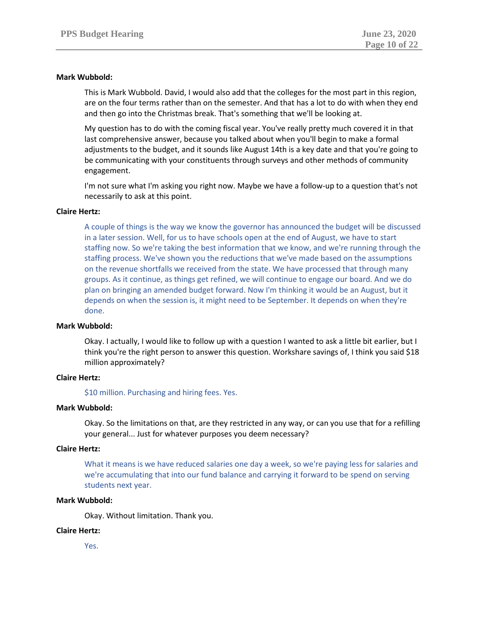# **Mark Wubbold:**

This is Mark Wubbold. David, I would also add that the colleges for the most part in this region, are on the four terms rather than on the semester. And that has a lot to do with when they end and then go into the Christmas break. That's something that we'll be looking at.

My question has to do with the coming fiscal year. You've really pretty much covered it in that last comprehensive answer, because you talked about when you'll begin to make a formal adjustments to the budget, and it sounds like August 14th is a key date and that you're going to be communicating with your constituents through surveys and other methods of community engagement.

I'm not sure what I'm asking you right now. Maybe we have a follow-up to a question that's not necessarily to ask at this point.

# **Claire Hertz:**

A couple of things is the way we know the governor has announced the budget will be discussed in a later session. Well, for us to have schools open at the end of August, we have to start staffing now. So we're taking the best information that we know, and we're running through the staffing process. We've shown you the reductions that we've made based on the assumptions on the revenue shortfalls we received from the state. We have processed that through many groups. As it continue, as things get refined, we will continue to engage our board. And we do plan on bringing an amended budget forward. Now I'm thinking it would be an August, but it depends on when the session is, it might need to be September. It depends on when they're done.

## **Mark Wubbold:**

Okay. I actually, I would like to follow up with a question I wanted to ask a little bit earlier, but I think you're the right person to answer this question. Workshare savings of, I think you said \$18 million approximately?

## **Claire Hertz:**

\$10 million. Purchasing and hiring fees. Yes.

## **Mark Wubbold:**

Okay. So the limitations on that, are they restricted in any way, or can you use that for a refilling your general... Just for whatever purposes you deem necessary?

## **Claire Hertz:**

What it means is we have reduced salaries one day a week, so we're paying less for salaries and we're accumulating that into our fund balance and carrying it forward to be spend on serving students next year.

# **Mark Wubbold:**

Okay. Without limitation. Thank you.

# **Claire Hertz:**

Yes.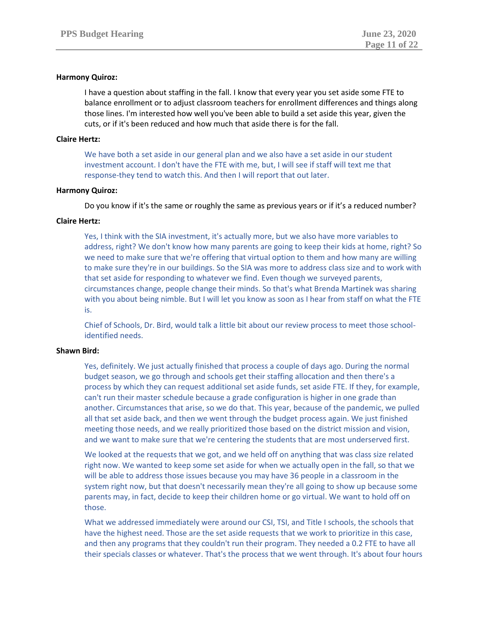# **Harmony Quiroz:**

I have a question about staffing in the fall. I know that every year you set aside some FTE to balance enrollment or to adjust classroom teachers for enrollment differences and things along those lines. I'm interested how well you've been able to build a set aside this year, given the cuts, or if it's been reduced and how much that aside there is for the fall.

## **Claire Hertz:**

We have both a set aside in our general plan and we also have a set aside in our student investment account. I don't have the FTE with me, but, I will see if staff will text me that response-they tend to watch this. And then I will report that out later.

# **Harmony Quiroz:**

Do you know if it's the same or roughly the same as previous years or if it's a reduced number?

# **Claire Hertz:**

Yes, I think with the SIA investment, it's actually more, but we also have more variables to address, right? We don't know how many parents are going to keep their kids at home, right? So we need to make sure that we're offering that virtual option to them and how many are willing to make sure they're in our buildings. So the SIA was more to address class size and to work with that set aside for responding to whatever we find. Even though we surveyed parents, circumstances change, people change their minds. So that's what Brenda Martinek was sharing with you about being nimble. But I will let you know as soon as I hear from staff on what the FTE is.

Chief of Schools, Dr. Bird, would talk a little bit about our review process to meet those schoolidentified needs.

# **Shawn Bird:**

Yes, definitely. We just actually finished that process a couple of days ago. During the normal budget season, we go through and schools get their staffing allocation and then there's a process by which they can request additional set aside funds, set aside FTE. If they, for example, can't run their master schedule because a grade configuration is higher in one grade than another. Circumstances that arise, so we do that. This year, because of the pandemic, we pulled all that set aside back, and then we went through the budget process again. We just finished meeting those needs, and we really prioritized those based on the district mission and vision, and we want to make sure that we're centering the students that are most underserved first.

We looked at the requests that we got, and we held off on anything that was class size related right now. We wanted to keep some set aside for when we actually open in the fall, so that we will be able to address those issues because you may have 36 people in a classroom in the system right now, but that doesn't necessarily mean they're all going to show up because some parents may, in fact, decide to keep their children home or go virtual. We want to hold off on those.

What we addressed immediately were around our CSI, TSI, and Title I schools, the schools that have the highest need. Those are the set aside requests that we work to prioritize in this case, and then any programs that they couldn't run their program. They needed a 0.2 FTE to have all their specials classes or whatever. That's the process that we went through. It's about four hours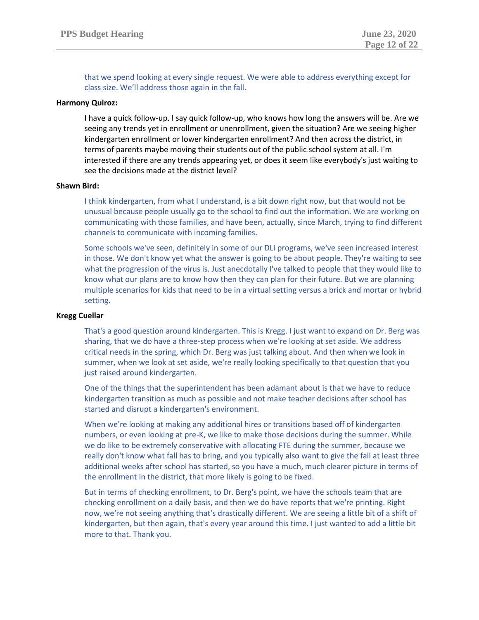that we spend looking at every single request. We were able to address everything except for class size. We'll address those again in the fall.

## **Harmony Quiroz:**

I have a quick follow-up. I say quick follow-up, who knows how long the answers will be. Are we seeing any trends yet in enrollment or unenrollment, given the situation? Are we seeing higher kindergarten enrollment or lower kindergarten enrollment? And then across the district, in terms of parents maybe moving their students out of the public school system at all. I'm interested if there are any trends appearing yet, or does it seem like everybody's just waiting to see the decisions made at the district level?

# **Shawn Bird:**

I think kindergarten, from what I understand, is a bit down right now, but that would not be unusual because people usually go to the school to find out the information. We are working on communicating with those families, and have been, actually, since March, trying to find different channels to communicate with incoming families.

Some schools we've seen, definitely in some of our DLI programs, we've seen increased interest in those. We don't know yet what the answer is going to be about people. They're waiting to see what the progression of the virus is. Just anecdotally I've talked to people that they would like to know what our plans are to know how then they can plan for their future. But we are planning multiple scenarios for kids that need to be in a virtual setting versus a brick and mortar or hybrid setting.

## **Kregg Cuellar**

That's a good question around kindergarten. This is Kregg. I just want to expand on Dr. Berg was sharing, that we do have a three-step process when we're looking at set aside. We address critical needs in the spring, which Dr. Berg was just talking about. And then when we look in summer, when we look at set aside, we're really looking specifically to that question that you just raised around kindergarten.

One of the things that the superintendent has been adamant about is that we have to reduce kindergarten transition as much as possible and not make teacher decisions after school has started and disrupt a kindergarten's environment.

When we're looking at making any additional hires or transitions based off of kindergarten numbers, or even looking at pre-K, we like to make those decisions during the summer. While we do like to be extremely conservative with allocating FTE during the summer, because we really don't know what fall has to bring, and you typically also want to give the fall at least three additional weeks after school has started, so you have a much, much clearer picture in terms of the enrollment in the district, that more likely is going to be fixed.

But in terms of checking enrollment, to Dr. Berg's point, we have the schools team that are checking enrollment on a daily basis, and then we do have reports that we're printing. Right now, we're not seeing anything that's drastically different. We are seeing a little bit of a shift of kindergarten, but then again, that's every year around this time. I just wanted to add a little bit more to that. Thank you.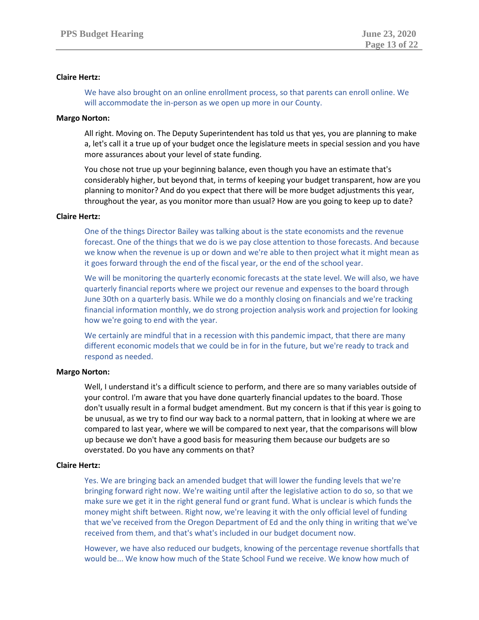# **Claire Hertz:**

We have also brought on an online enrollment process, so that parents can enroll online. We will accommodate the in-person as we open up more in our County.

# **Margo Norton:**

All right. Moving on. The Deputy Superintendent has told us that yes, you are planning to make a, let's call it a true up of your budget once the legislature meets in special session and you have more assurances about your level of state funding.

You chose not true up your beginning balance, even though you have an estimate that's considerably higher, but beyond that, in terms of keeping your budget transparent, how are you planning to monitor? And do you expect that there will be more budget adjustments this year, throughout the year, as you monitor more than usual? How are you going to keep up to date?

## **Claire Hertz:**

One of the things Director Bailey was talking about is the state economists and the revenue forecast. One of the things that we do is we pay close attention to those forecasts. And because we know when the revenue is up or down and we're able to then project what it might mean as it goes forward through the end of the fiscal year, or the end of the school year.

We will be monitoring the quarterly economic forecasts at the state level. We will also, we have quarterly financial reports where we project our revenue and expenses to the board through June 30th on a quarterly basis. While we do a monthly closing on financials and we're tracking financial information monthly, we do strong projection analysis work and projection for looking how we're going to end with the year.

We certainly are mindful that in a recession with this pandemic impact, that there are many different economic models that we could be in for in the future, but we're ready to track and respond as needed.

## **Margo Norton:**

Well, I understand it's a difficult science to perform, and there are so many variables outside of your control. I'm aware that you have done quarterly financial updates to the board. Those don't usually result in a formal budget amendment. But my concern is that if this year is going to be unusual, as we try to find our way back to a normal pattern, that in looking at where we are compared to last year, where we will be compared to next year, that the comparisons will blow up because we don't have a good basis for measuring them because our budgets are so overstated. Do you have any comments on that?

## **Claire Hertz:**

Yes. We are bringing back an amended budget that will lower the funding levels that we're bringing forward right now. We're waiting until after the legislative action to do so, so that we make sure we get it in the right general fund or grant fund. What is unclear is which funds the money might shift between. Right now, we're leaving it with the only official level of funding that we've received from the Oregon Department of Ed and the only thing in writing that we've received from them, and that's what's included in our budget document now.

However, we have also reduced our budgets, knowing of the percentage revenue shortfalls that would be... We know how much of the State School Fund we receive. We know how much of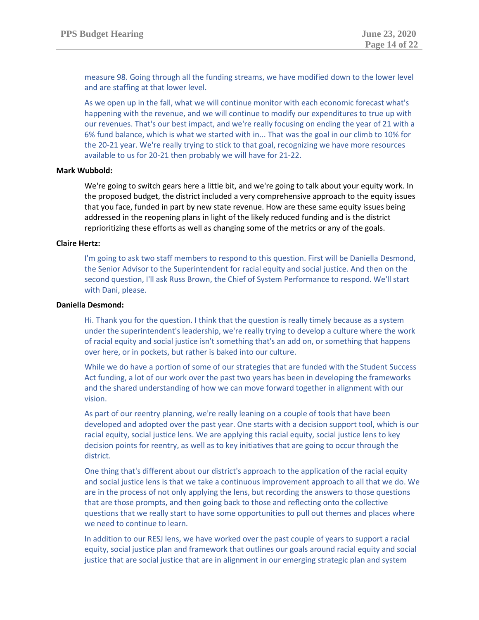measure 98. Going through all the funding streams, we have modified down to the lower level and are staffing at that lower level.

As we open up in the fall, what we will continue monitor with each economic forecast what's happening with the revenue, and we will continue to modify our expenditures to true up with our revenues. That's our best impact, and we're really focusing on ending the year of 21 with a 6% fund balance, which is what we started with in... That was the goal in our climb to 10% for the 20-21 year. We're really trying to stick to that goal, recognizing we have more resources available to us for 20-21 then probably we will have for 21-22.

## **Mark Wubbold:**

We're going to switch gears here a little bit, and we're going to talk about your equity work. In the proposed budget, the district included a very comprehensive approach to the equity issues that you face, funded in part by new state revenue. How are these same equity issues being addressed in the reopening plans in light of the likely reduced funding and is the district reprioritizing these efforts as well as changing some of the metrics or any of the goals.

## **Claire Hertz:**

I'm going to ask two staff members to respond to this question. First will be Daniella Desmond, the Senior Advisor to the Superintendent for racial equity and social justice. And then on the second question, I'll ask Russ Brown, the Chief of System Performance to respond. We'll start with Dani, please.

## **Daniella Desmond:**

Hi. Thank you for the question. I think that the question is really timely because as a system under the superintendent's leadership, we're really trying to develop a culture where the work of racial equity and social justice isn't something that's an add on, or something that happens over here, or in pockets, but rather is baked into our culture.

While we do have a portion of some of our strategies that are funded with the Student Success Act funding, a lot of our work over the past two years has been in developing the frameworks and the shared understanding of how we can move forward together in alignment with our vision.

As part of our reentry planning, we're really leaning on a couple of tools that have been developed and adopted over the past year. One starts with a decision support tool, which is our racial equity, social justice lens. We are applying this racial equity, social justice lens to key decision points for reentry, as well as to key initiatives that are going to occur through the district.

One thing that's different about our district's approach to the application of the racial equity and social justice lens is that we take a continuous improvement approach to all that we do. We are in the process of not only applying the lens, but recording the answers to those questions that are those prompts, and then going back to those and reflecting onto the collective questions that we really start to have some opportunities to pull out themes and places where we need to continue to learn.

In addition to our RESJ lens, we have worked over the past couple of years to support a racial equity, social justice plan and framework that outlines our goals around racial equity and social justice that are social justice that are in alignment in our emerging strategic plan and system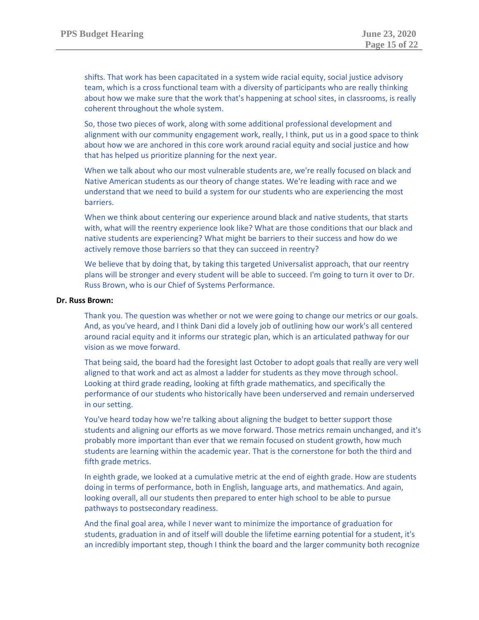shifts. That work has been capacitated in a system wide racial equity, social justice advisory team, which is a cross functional team with a diversity of participants who are really thinking about how we make sure that the work that's happening at school sites, in classrooms, is really coherent throughout the whole system.

So, those two pieces of work, along with some additional professional development and alignment with our community engagement work, really, I think, put us in a good space to think about how we are anchored in this core work around racial equity and social justice and how that has helped us prioritize planning for the next year.

When we talk about who our most vulnerable students are, we're really focused on black and Native American students as our theory of change states. We're leading with race and we understand that we need to build a system for our students who are experiencing the most barriers.

When we think about centering our experience around black and native students, that starts with, what will the reentry experience look like? What are those conditions that our black and native students are experiencing? What might be barriers to their success and how do we actively remove those barriers so that they can succeed in reentry?

We believe that by doing that, by taking this targeted Universalist approach, that our reentry plans will be stronger and every student will be able to succeed. I'm going to turn it over to Dr. Russ Brown, who is our Chief of Systems Performance.

## **Dr. Russ Brown:**

Thank you. The question was whether or not we were going to change our metrics or our goals. And, as you've heard, and I think Dani did a lovely job of outlining how our work's all centered around racial equity and it informs our strategic plan, which is an articulated pathway for our vision as we move forward.

That being said, the board had the foresight last October to adopt goals that really are very well aligned to that work and act as almost a ladder for students as they move through school. Looking at third grade reading, looking at fifth grade mathematics, and specifically the performance of our students who historically have been underserved and remain underserved in our setting.

You've heard today how we're talking about aligning the budget to better support those students and aligning our efforts as we move forward. Those metrics remain unchanged, and it's probably more important than ever that we remain focused on student growth, how much students are learning within the academic year. That is the cornerstone for both the third and fifth grade metrics.

In eighth grade, we looked at a cumulative metric at the end of eighth grade. How are students doing in terms of performance, both in English, language arts, and mathematics. And again, looking overall, all our students then prepared to enter high school to be able to pursue pathways to postsecondary readiness.

And the final goal area, while I never want to minimize the importance of graduation for students, graduation in and of itself will double the lifetime earning potential for a student, it's an incredibly important step, though I think the board and the larger community both recognize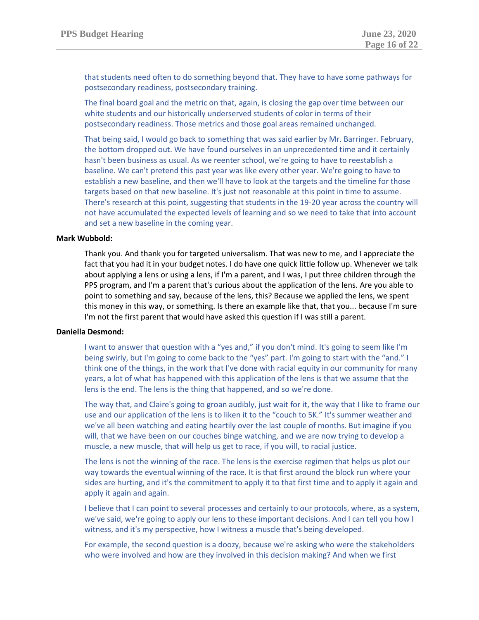that students need often to do something beyond that. They have to have some pathways for postsecondary readiness, postsecondary training.

The final board goal and the metric on that, again, is closing the gap over time between our white students and our historically underserved students of color in terms of their postsecondary readiness. Those metrics and those goal areas remained unchanged.

That being said, I would go back to something that was said earlier by Mr. Barringer. February, the bottom dropped out. We have found ourselves in an unprecedented time and it certainly hasn't been business as usual. As we reenter school, we're going to have to reestablish a baseline. We can't pretend this past year was like every other year. We're going to have to establish a new baseline, and then we'll have to look at the targets and the timeline for those targets based on that new baseline. It's just not reasonable at this point in time to assume. There's research at this point, suggesting that students in the 19-20 year across the country will not have accumulated the expected levels of learning and so we need to take that into account and set a new baseline in the coming year.

## **Mark Wubbold:**

Thank you. And thank you for targeted universalism. That was new to me, and I appreciate the fact that you had it in your budget notes. I do have one quick little follow up. Whenever we talk about applying a lens or using a lens, if I'm a parent, and I was, I put three children through the PPS program, and I'm a parent that's curious about the application of the lens. Are you able to point to something and say, because of the lens, this? Because we applied the lens, we spent this money in this way, or something. Is there an example like that, that you... because I'm sure I'm not the first parent that would have asked this question if I was still a parent.

## **Daniella Desmond:**

I want to answer that question with a "yes and," if you don't mind. It's going to seem like I'm being swirly, but I'm going to come back to the "yes" part. I'm going to start with the "and." I think one of the things, in the work that I've done with racial equity in our community for many years, a lot of what has happened with this application of the lens is that we assume that the lens is the end. The lens is the thing that happened, and so we're done.

The way that, and Claire's going to groan audibly, just wait for it, the way that I like to frame our use and our application of the lens is to liken it to the "couch to 5K." It's summer weather and we've all been watching and eating heartily over the last couple of months. But imagine if you will, that we have been on our couches binge watching, and we are now trying to develop a muscle, a new muscle, that will help us get to race, if you will, to racial justice.

The lens is not the winning of the race. The lens is the exercise regimen that helps us plot our way towards the eventual winning of the race. It is that first around the block run where your sides are hurting, and it's the commitment to apply it to that first time and to apply it again and apply it again and again.

I believe that I can point to several processes and certainly to our protocols, where, as a system, we've said, we're going to apply our lens to these important decisions. And I can tell you how I witness, and it's my perspective, how I witness a muscle that's being developed.

For example, the second question is a doozy, because we're asking who were the stakeholders who were involved and how are they involved in this decision making? And when we first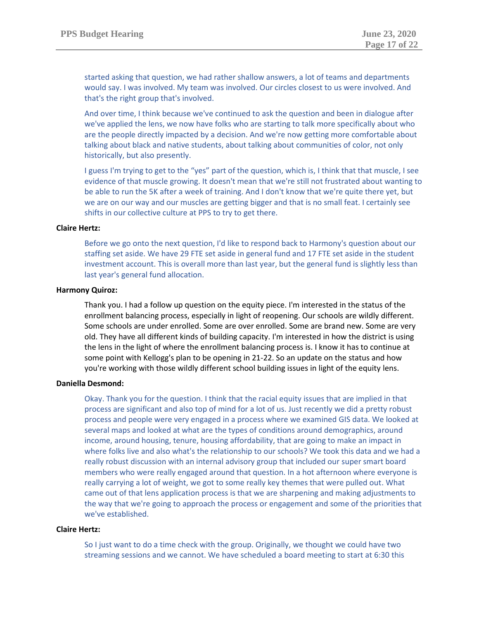started asking that question, we had rather shallow answers, a lot of teams and departments would say. I was involved. My team was involved. Our circles closest to us were involved. And that's the right group that's involved.

And over time, I think because we've continued to ask the question and been in dialogue after we've applied the lens, we now have folks who are starting to talk more specifically about who are the people directly impacted by a decision. And we're now getting more comfortable about talking about black and native students, about talking about communities of color, not only historically, but also presently.

I guess I'm trying to get to the "yes" part of the question, which is, I think that that muscle, I see evidence of that muscle growing. It doesn't mean that we're still not frustrated about wanting to be able to run the 5K after a week of training. And I don't know that we're quite there yet, but we are on our way and our muscles are getting bigger and that is no small feat. I certainly see shifts in our collective culture at PPS to try to get there.

# **Claire Hertz:**

Before we go onto the next question, I'd like to respond back to Harmony's question about our staffing set aside. We have 29 FTE set aside in general fund and 17 FTE set aside in the student investment account. This is overall more than last year, but the general fund is slightly less than last year's general fund allocation.

# **Harmony Quiroz:**

Thank you. I had a follow up question on the equity piece. I'm interested in the status of the enrollment balancing process, especially in light of reopening. Our schools are wildly different. Some schools are under enrolled. Some are over enrolled. Some are brand new. Some are very old. They have all different kinds of building capacity. I'm interested in how the district is using the lens in the light of where the enrollment balancing process is. I know it has to continue at some point with Kellogg's plan to be opening in 21-22. So an update on the status and how you're working with those wildly different school building issues in light of the equity lens.

# **Daniella Desmond:**

Okay. Thank you for the question. I think that the racial equity issues that are implied in that process are significant and also top of mind for a lot of us. Just recently we did a pretty robust process and people were very engaged in a process where we examined GIS data. We looked at several maps and looked at what are the types of conditions around demographics, around income, around housing, tenure, housing affordability, that are going to make an impact in where folks live and also what's the relationship to our schools? We took this data and we had a really robust discussion with an internal advisory group that included our super smart board members who were really engaged around that question. In a hot afternoon where everyone is really carrying a lot of weight, we got to some really key themes that were pulled out. What came out of that lens application process is that we are sharpening and making adjustments to the way that we're going to approach the process or engagement and some of the priorities that we've established.

## **Claire Hertz:**

So I just want to do a time check with the group. Originally, we thought we could have two streaming sessions and we cannot. We have scheduled a board meeting to start at 6:30 this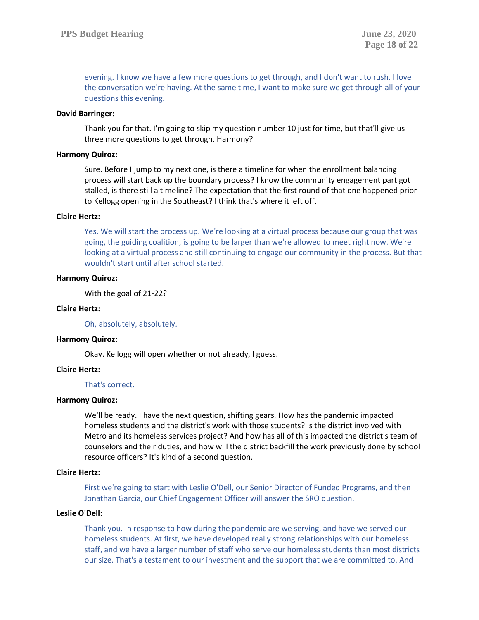evening. I know we have a few more questions to get through, and I don't want to rush. I love the conversation we're having. At the same time, I want to make sure we get through all of your questions this evening.

## **David Barringer:**

Thank you for that. I'm going to skip my question number 10 just for time, but that'll give us three more questions to get through. Harmony?

## **Harmony Quiroz:**

Sure. Before I jump to my next one, is there a timeline for when the enrollment balancing process will start back up the boundary process? I know the community engagement part got stalled, is there still a timeline? The expectation that the first round of that one happened prior to Kellogg opening in the Southeast? I think that's where it left off.

## **Claire Hertz:**

Yes. We will start the process up. We're looking at a virtual process because our group that was going, the guiding coalition, is going to be larger than we're allowed to meet right now. We're looking at a virtual process and still continuing to engage our community in the process. But that wouldn't start until after school started.

# **Harmony Quiroz:**

With the goal of 21-22?

## **Claire Hertz:**

Oh, absolutely, absolutely.

## **Harmony Quiroz:**

Okay. Kellogg will open whether or not already, I guess.

## **Claire Hertz:**

## That's correct.

## **Harmony Quiroz:**

We'll be ready. I have the next question, shifting gears. How has the pandemic impacted homeless students and the district's work with those students? Is the district involved with Metro and its homeless services project? And how has all of this impacted the district's team of counselors and their duties, and how will the district backfill the work previously done by school resource officers? It's kind of a second question.

## **Claire Hertz:**

First we're going to start with Leslie O'Dell, our Senior Director of Funded Programs, and then Jonathan Garcia, our Chief Engagement Officer will answer the SRO question.

# **Leslie O'Dell:**

Thank you. In response to how during the pandemic are we serving, and have we served our homeless students. At first, we have developed really strong relationships with our homeless staff, and we have a larger number of staff who serve our homeless students than most districts our size. That's a testament to our investment and the support that we are committed to. And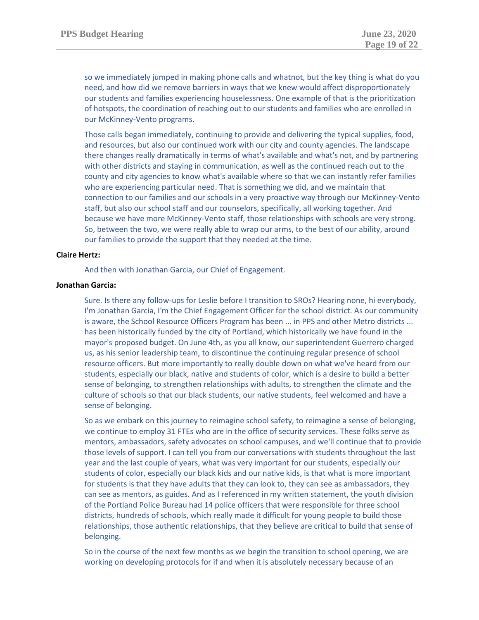so we immediately jumped in making phone calls and whatnot, but the key thing is what do you need, and how did we remove barriers in ways that we knew would affect disproportionately our students and families experiencing houselessness. One example of that is the prioritization of hotspots, the coordination of reaching out to our students and families who are enrolled in our McKinney-Vento programs.

Those calls began immediately, continuing to provide and delivering the typical supplies, food, and resources, but also our continued work with our city and county agencies. The landscape there changes really dramatically in terms of what's available and what's not, and by partnering with other districts and staying in communication, as well as the continued reach out to the county and city agencies to know what's available where so that we can instantly refer families who are experiencing particular need. That is something we did, and we maintain that connection to our families and our schools in a very proactive way through our McKinney-Vento staff, but also our school staff and our counselors, specifically, all working together. And because we have more McKinney-Vento staff, those relationships with schools are very strong. So, between the two, we were really able to wrap our arms, to the best of our ability, around our families to provide the support that they needed at the time.

## **Claire Hertz:**

And then with Jonathan Garcia, our Chief of Engagement.

## **Jonathan Garcia:**

Sure. Is there any follow-ups for Leslie before I transition to SROs? Hearing none, hi everybody, I'm Jonathan Garcia, I'm the Chief Engagement Officer for the school district. As our community is aware, the School Resource Officers Program has been ... in PPS and other Metro districts ... has been historically funded by the city of Portland, which historically we have found in the mayor's proposed budget. On June 4th, as you all know, our superintendent Guerrero charged us, as his senior leadership team, to discontinue the continuing regular presence of school resource officers. But more importantly to really double down on what we've heard from our students, especially our black, native and students of color, which is a desire to build a better sense of belonging, to strengthen relationships with adults, to strengthen the climate and the culture of schools so that our black students, our native students, feel welcomed and have a sense of belonging.

So as we embark on this journey to reimagine school safety, to reimagine a sense of belonging, we continue to employ 31 FTEs who are in the office of security services. These folks serve as mentors, ambassadors, safety advocates on school campuses, and we'll continue that to provide those levels of support. I can tell you from our conversations with students throughout the last year and the last couple of years, what was very important for our students, especially our students of color, especially our black kids and our native kids, is that what is more important for students is that they have adults that they can look to, they can see as ambassadors, they can see as mentors, as guides. And as I referenced in my written statement, the youth division of the Portland Police Bureau had 14 police officers that were responsible for three school districts, hundreds of schools, which really made it difficult for young people to build those relationships, those authentic relationships, that they believe are critical to build that sense of belonging.

So in the course of the next few months as we begin the transition to school opening, we are working on developing protocols for if and when it is absolutely necessary because of an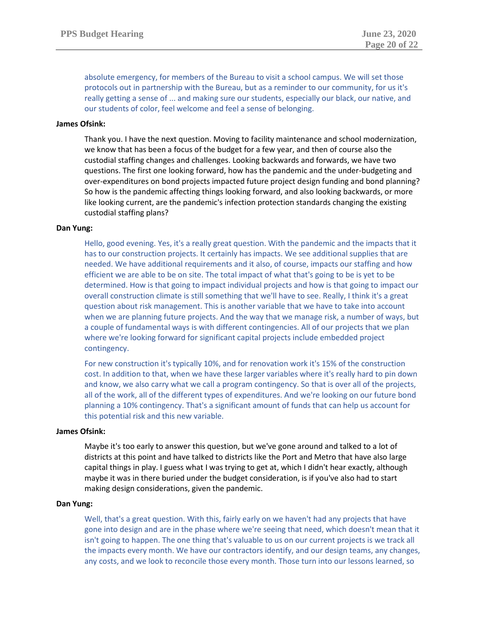absolute emergency, for members of the Bureau to visit a school campus. We will set those protocols out in partnership with the Bureau, but as a reminder to our community, for us it's really getting a sense of ... and making sure our students, especially our black, our native, and our students of color, feel welcome and feel a sense of belonging.

# **James Ofsink:**

Thank you. I have the next question. Moving to facility maintenance and school modernization, we know that has been a focus of the budget for a few year, and then of course also the custodial staffing changes and challenges. Looking backwards and forwards, we have two questions. The first one looking forward, how has the pandemic and the under-budgeting and over-expenditures on bond projects impacted future project design funding and bond planning? So how is the pandemic affecting things looking forward, and also looking backwards, or more like looking current, are the pandemic's infection protection standards changing the existing custodial staffing plans?

## **Dan Yung:**

Hello, good evening. Yes, it's a really great question. With the pandemic and the impacts that it has to our construction projects. It certainly has impacts. We see additional supplies that are needed. We have additional requirements and it also, of course, impacts our staffing and how efficient we are able to be on site. The total impact of what that's going to be is yet to be determined. How is that going to impact individual projects and how is that going to impact our overall construction climate is still something that we'll have to see. Really, I think it's a great question about risk management. This is another variable that we have to take into account when we are planning future projects. And the way that we manage risk, a number of ways, but a couple of fundamental ways is with different contingencies. All of our projects that we plan where we're looking forward for significant capital projects include embedded project contingency.

For new construction it's typically 10%, and for renovation work it's 15% of the construction cost. In addition to that, when we have these larger variables where it's really hard to pin down and know, we also carry what we call a program contingency. So that is over all of the projects, all of the work, all of the different types of expenditures. And we're looking on our future bond planning a 10% contingency. That's a significant amount of funds that can help us account for this potential risk and this new variable.

#### **James Ofsink:**

Maybe it's too early to answer this question, but we've gone around and talked to a lot of districts at this point and have talked to districts like the Port and Metro that have also large capital things in play. I guess what I was trying to get at, which I didn't hear exactly, although maybe it was in there buried under the budget consideration, is if you've also had to start making design considerations, given the pandemic.

#### **Dan Yung:**

Well, that's a great question. With this, fairly early on we haven't had any projects that have gone into design and are in the phase where we're seeing that need, which doesn't mean that it isn't going to happen. The one thing that's valuable to us on our current projects is we track all the impacts every month. We have our contractors identify, and our design teams, any changes, any costs, and we look to reconcile those every month. Those turn into our lessons learned, so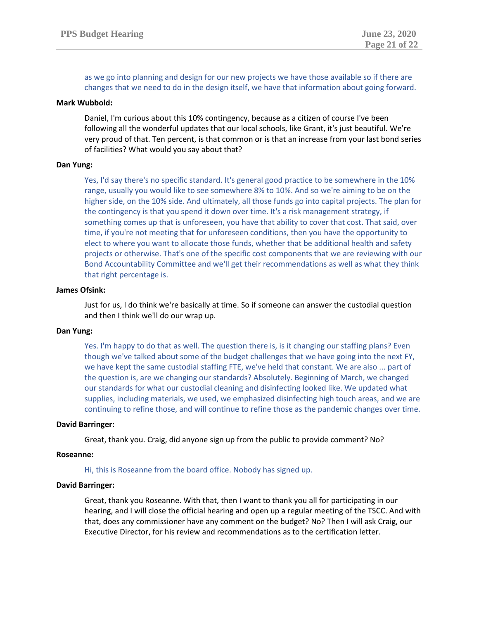as we go into planning and design for our new projects we have those available so if there are changes that we need to do in the design itself, we have that information about going forward.

## **Mark Wubbold:**

Daniel, I'm curious about this 10% contingency, because as a citizen of course I've been following all the wonderful updates that our local schools, like Grant, it's just beautiful. We're very proud of that. Ten percent, is that common or is that an increase from your last bond series of facilities? What would you say about that?

# **Dan Yung:**

Yes, I'd say there's no specific standard. It's general good practice to be somewhere in the 10% range, usually you would like to see somewhere 8% to 10%. And so we're aiming to be on the higher side, on the 10% side. And ultimately, all those funds go into capital projects. The plan for the contingency is that you spend it down over time. It's a risk management strategy, if something comes up that is unforeseen, you have that ability to cover that cost. That said, over time, if you're not meeting that for unforeseen conditions, then you have the opportunity to elect to where you want to allocate those funds, whether that be additional health and safety projects or otherwise. That's one of the specific cost components that we are reviewing with our Bond Accountability Committee and we'll get their recommendations as well as what they think that right percentage is.

## **James Ofsink:**

Just for us, I do think we're basically at time. So if someone can answer the custodial question and then I think we'll do our wrap up.

## **Dan Yung:**

Yes. I'm happy to do that as well. The question there is, is it changing our staffing plans? Even though we've talked about some of the budget challenges that we have going into the next FY, we have kept the same custodial staffing FTE, we've held that constant. We are also ... part of the question is, are we changing our standards? Absolutely. Beginning of March, we changed our standards for what our custodial cleaning and disinfecting looked like. We updated what supplies, including materials, we used, we emphasized disinfecting high touch areas, and we are continuing to refine those, and will continue to refine those as the pandemic changes over time.

## **David Barringer:**

Great, thank you. Craig, did anyone sign up from the public to provide comment? No?

## **Roseanne:**

# Hi, this is Roseanne from the board office. Nobody has signed up.

## **David Barringer:**

Great, thank you Roseanne. With that, then I want to thank you all for participating in our hearing, and I will close the official hearing and open up a regular meeting of the TSCC. And with that, does any commissioner have any comment on the budget? No? Then I will ask Craig, our Executive Director, for his review and recommendations as to the certification letter.